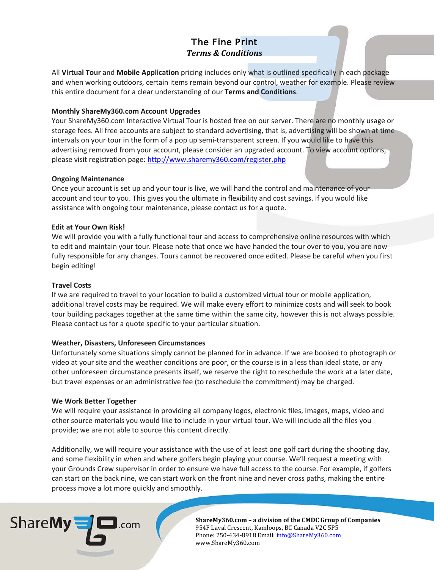# The Fine Print *Terms & Conditions*

All **Virtual Tour** and **Mobile Application** pricing includes only what is outlined specifically in each package and when working outdoors, certain items remain beyond our control, weather for example. Please review this entire document for a clear understanding of our **Terms and Conditions**.

# **Monthly ShareMy360.com Account Upgrades**

Your ShareMy360.com Interactive Virtual Tour is hosted free on our server. There are no monthly usage or storage fees. All free accounts are subject to standard advertising, that is, advertising will be shown at time intervals on your tour in the form of a pop up semi-transparent screen. If you would like to have this advertising removed from your account, please consider an upgraded account. To view account options, please visit registration page:<http://www.sharemy360.com/register.php>

## **Ongoing Maintenance**

Once your account is set up and your tour is live, we will hand the control and maintenance of your account and tour to you. This gives you the ultimate in flexibility and cost savings. If you would like assistance with ongoing tour maintenance, please contact us for a quote.

## **Edit at Your Own Risk!**

We will provide you with a fully functional tour and access to comprehensive online resources with which to edit and maintain your tour. Please note that once we have handed the tour over to you, you are now fully responsible for any changes. Tours cannot be recovered once edited. Please be careful when you first begin editing!

### **Travel Costs**

If we are required to travel to your location to build a customized virtual tour or mobile application, additional travel costs may be required. We will make every effort to minimize costs and will seek to book tour building packages together at the same time within the same city, however this is not always possible. Please contact us for a quote specific to your particular situation.

### **Weather, Disasters, Unforeseen Circumstances**

Unfortunately some situations simply cannot be planned for in advance. If we are booked to photograph or video at your site and the weather conditions are poor, or the course is in a less than ideal state, or any other unforeseen circumstance presents itself, we reserve the right to reschedule the work at a later date, but travel expenses or an administrative fee (to reschedule the commitment) may be charged.

### **We Work Better Together**

We will require your assistance in providing all company logos, electronic files, images, maps, video and other source materials you would like to include in your virtual tour. We will include all the files you provide; we are not able to source this content directly.

Additionally, we will require your assistance with the use of at least one golf cart during the shooting day, and some flexibility in when and where golfers begin playing your course. We'll request a meeting with your Grounds Crew supervisor in order to ensure we have full access to the course. For example, if golfers can start on the back nine, we can start work on the front nine and never cross paths, making the entire process move a lot more quickly and smoothly.



**ShareMy360.com – a division of the CMDC Group of Companies** 954F Laval Crescent, Kamloops, BC Canada V2C 5P5 Phone: 250-434-8918 Email[: info@ShareMy360.com](mailto:info@ShareMy360.com) www.ShareMy360.com